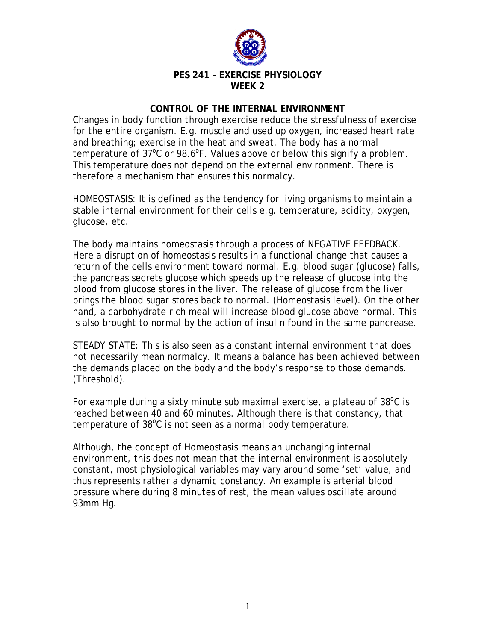

## **PES 241 – EXERCISE PHYSIOLOGY WEEK 2**

## **CONTROL OF THE INTERNAL ENVIRONMENT**

Changes in body function through exercise reduce the stressfulness of exercise for the entire organism. E.g. muscle and used up oxygen, increased heart rate and breathing; exercise in the heat and sweat. The body has a normal temperature of  $37^{\circ}$ C or 98.6°F. Values above or below this signify a problem. This temperature does not depend on the external environment. There is therefore a mechanism that ensures this normalcy.

HOMEOSTASIS: It is defined as the tendency for living organisms to maintain a stable internal environment for their cells e.g. temperature, acidity, oxygen, glucose, etc.

The body maintains homeostasis through a process of NEGATIVE FEEDBACK. Here a disruption of homeostasis results in a functional change that causes a return of the cells environment toward normal. E.g. blood sugar (glucose) falls, the pancreas secrets glucose which speeds up the release of glucose into the blood from glucose stores in the liver. The release of glucose from the liver brings the blood sugar stores back to normal. (Homeostasis level). On the other hand, a carbohydrate rich meal will increase blood glucose above normal. This is also brought to normal by the action of insulin found in the same pancrease.

STEADY STATE: This is also seen as a constant internal environment that does not necessarily mean normalcy. It means a balance has been achieved between the demands placed on the body and the body's response to those demands. (Threshold).

For example during a sixty minute sub maximal exercise, a plateau of  $38^{\circ}$ C is reached between 40 and 60 minutes. Although there is that constancy, that temperature of  $38^{\circ}$ C is not seen as a normal body temperature.

Although, the concept of Homeostasis means an unchanging internal environment, this does not mean that the internal environment is absolutely constant, most physiological variables may vary around some 'set' value, and thus represents rather a dynamic constancy. An example is arterial blood pressure where during 8 minutes of rest, the mean values oscillate around 93mm Hg.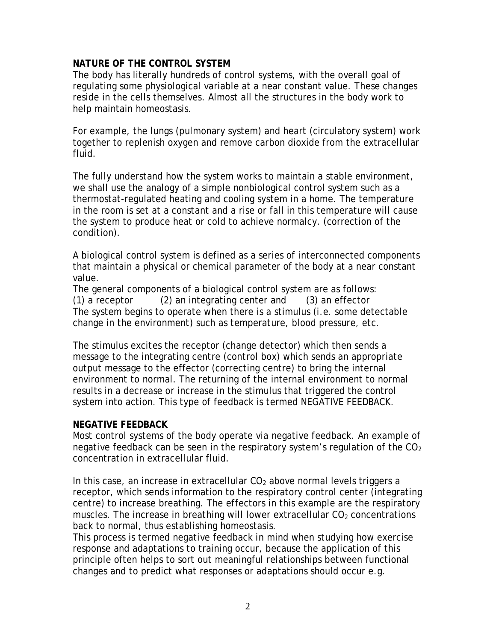## **NATURE OF THE CONTROL SYSTEM**

The body has literally hundreds of control systems, with the overall goal of regulating some physiological variable at a near constant value. These changes reside in the cells themselves. Almost all the structures in the body work to help maintain homeostasis.

For example, the lungs (pulmonary system) and heart (circulatory system) work together to replenish oxygen and remove carbon dioxide from the extracellular fluid.

The fully understand how the system works to maintain a stable environment, we shall use the analogy of a simple nonbiological control system such as a thermostat-regulated heating and cooling system in a home. The temperature in the room is set at a constant and a rise or fall in this temperature will cause the system to produce heat or cold to achieve normalcy. (correction of the condition).

A biological control system is defined as a series of interconnected components that maintain a physical or chemical parameter of the body at a near constant value.

The general components of a biological control system are as follows: (1) a receptor (2) an integrating center and (3) an effector The system begins to operate when there is a stimulus (i.e. some detectable change in the environment) such as temperature, blood pressure, etc.

The stimulus excites the receptor (change detector) which then sends a message to the integrating centre (control box) which sends an appropriate output message to the effector (correcting centre) to bring the internal environment to normal. The returning of the internal environment to normal results in a decrease or increase in the stimulus that triggered the control system into action. This type of feedback is termed NEGATIVE FEEDBACK.

## **NEGATIVE FEEDBACK**

Most control systems of the body operate via negative feedback. An example of negative feedback can be seen in the respiratory system's regulation of the  $CO<sub>2</sub>$ concentration in extracellular fluid.

In this case, an increase in extracellular  $CO<sub>2</sub>$  above normal levels triggers a receptor, which sends information to the respiratory control center (integrating centre) to increase breathing. The effectors in this example are the respiratory muscles. The increase in breathing will lower extracellular  $CO<sub>2</sub>$  concentrations back to normal, thus establishing homeostasis.

This process is termed negative feedback in mind when studying how exercise response and adaptations to training occur, because the application of this principle often helps to sort out meaningful relationships between functional changes and to predict what responses or adaptations should occur e.g.